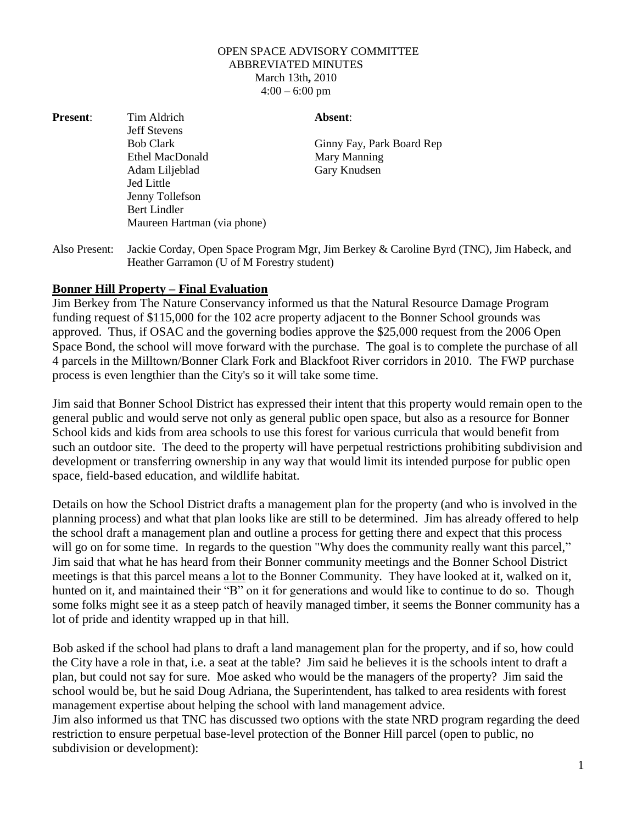## OPEN SPACE ADVISORY COMMITTEE ABBREVIATED MINUTES March 13th**,** 2010  $4:00 - 6:00$  pm

| <b>Present:</b> | Tim Aldrich                 | Absent:                   |
|-----------------|-----------------------------|---------------------------|
|                 | <b>Jeff Stevens</b>         |                           |
|                 | <b>Bob Clark</b>            | Ginny Fay, Park Board Rep |
|                 | Ethel MacDonald             | Mary Manning              |
|                 | Adam Liljeblad              | Gary Knudsen              |
|                 | <b>Jed Little</b>           |                           |
|                 | Jenny Tollefson             |                           |
|                 | <b>Bert Lindler</b>         |                           |
|                 | Maureen Hartman (via phone) |                           |
|                 |                             |                           |

Also Present: Jackie Corday, Open Space Program Mgr, Jim Berkey & Caroline Byrd (TNC), Jim Habeck, and Heather Garramon (U of M Forestry student)

## **Bonner Hill Property – Final Evaluation**

Jim Berkey from The Nature Conservancy informed us that the Natural Resource Damage Program funding request of \$115,000 for the 102 acre property adjacent to the Bonner School grounds was approved. Thus, if OSAC and the governing bodies approve the \$25,000 request from the 2006 Open Space Bond, the school will move forward with the purchase. The goal is to complete the purchase of all 4 parcels in the Milltown/Bonner Clark Fork and Blackfoot River corridors in 2010. The FWP purchase process is even lengthier than the City's so it will take some time.

Jim said that Bonner School District has expressed their intent that this property would remain open to the general public and would serve not only as general public open space, but also as a resource for Bonner School kids and kids from area schools to use this forest for various curricula that would benefit from such an outdoor site. The deed to the property will have perpetual restrictions prohibiting subdivision and development or transferring ownership in any way that would limit its intended purpose for public open space, field-based education, and wildlife habitat.

Details on how the School District drafts a management plan for the property (and who is involved in the planning process) and what that plan looks like are still to be determined. Jim has already offered to help the school draft a management plan and outline a process for getting there and expect that this process will go on for some time. In regards to the question "Why does the community really want this parcel," Jim said that what he has heard from their Bonner community meetings and the Bonner School District meetings is that this parcel means a lot to the Bonner Community. They have looked at it, walked on it, hunted on it, and maintained their "B" on it for generations and would like to continue to do so. Though some folks might see it as a steep patch of heavily managed timber, it seems the Bonner community has a lot of pride and identity wrapped up in that hill.

Bob asked if the school had plans to draft a land management plan for the property, and if so, how could the City have a role in that, i.e. a seat at the table? Jim said he believes it is the schools intent to draft a plan, but could not say for sure. Moe asked who would be the managers of the property? Jim said the school would be, but he said Doug Adriana, the Superintendent, has talked to area residents with forest management expertise about helping the school with land management advice.

Jim also informed us that TNC has discussed two options with the state NRD program regarding the deed restriction to ensure perpetual base-level protection of the Bonner Hill parcel (open to public, no subdivision or development):